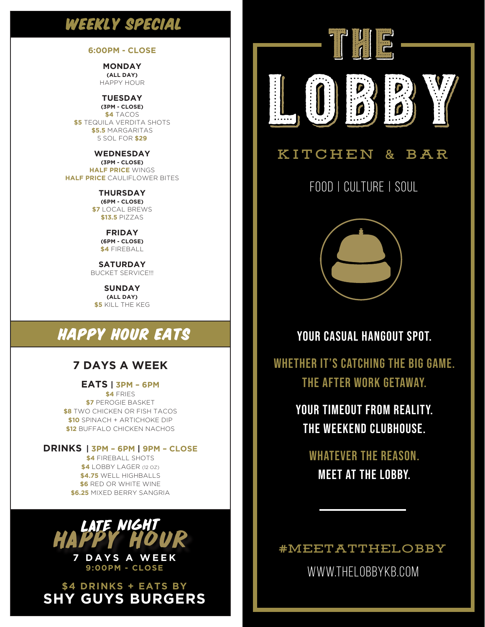### WEEKLY SPECIAL

#### **6:00PM - CLOSE**

**MONDAY (ALL DAY)** HAPPY HOUR

**TUESDAY (3PM - CLOSE) \$4** TACOS **\$5** TEQUILA VERDITA SHOTS **\$5.5** MARGARITAS 5 SOL FOR **\$29**

**WEDNESDAY (3PM - CLOSE) HALF PRICE** WINGS **HALF PRICE** CAULIFLOWER BITES

> **THURSDAY (6PM - CLOSE) \$7** LOCAL BREWS **\$13.5** PIZZAS

> > **FRIDAY (6PM - CLOSE) \$4** FIREBALL

**SATURDAY** BUCKET SERVICE!!!

**SUNDAY (ALL DAY) \$5** KILL THE KEG

# HAPPY HOUR EATS

#### **7 DAYS A WEEK**

**EATS | 3PM – 6PM \$4** FRIES **\$7** PEROGIE BASKET **\$8** TWO CHICKEN OR FISH TACOS **\$10** SPINACH + ARTICHOKE DIP **\$12** BUFFALO CHICKEN NACHOS

**DRINKS | 3PM – 6PM | 9PM – CLOSE \$4** FIREBALL SHOTS **\$4** LOBBY LAGER (12 OZ) **\$4.75** WELL HIGHBALLS **\$6** RED OR WHITE WINE **\$6.25** MIXED BERRY SANGRIA



<sup>I</sup> **7 DAYS A WEEK 9:00PM - CLOSE** 

**\$4 DRINKS + EATS BY SHY GUYS BURGERS**



#### **KITCHEN & BAR**

FOOD | CULTURE | SOUL



YOUR CASUAL HANGOUT SPOT.

WHETHER IT'S CATCHING THE BIG GAME. THE AFTER WORK GETAWAY.

> YOUR TIMEOUT FROM REALITY. THE WEEKEND CLUBHOUSE.

WHATEVER THE REASON. MEET AT THE LOBBY.

**#MEETATTHELOBBY**

WWW.THELOBBYKB.COM